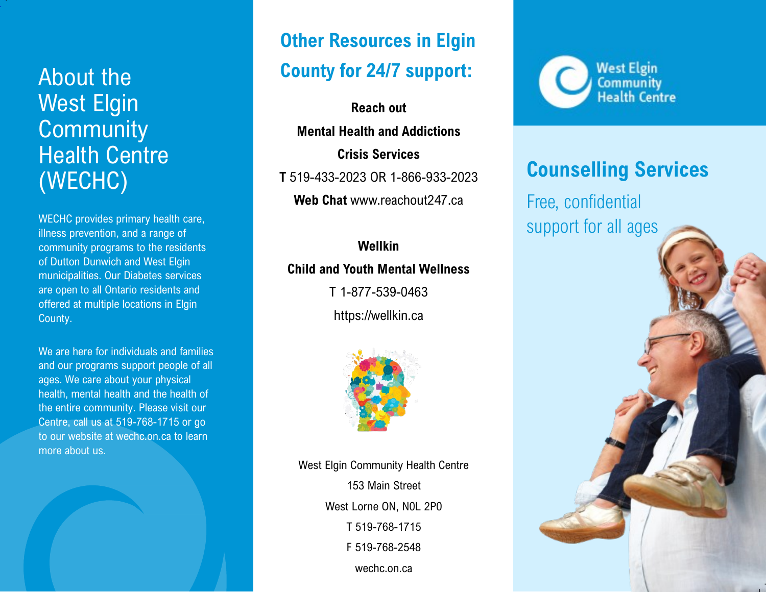# West Elgin **Community** Health Centre (WECHC)

WECHC provides primary health care, illness prevention, and a range of community programs to the residents of Dutton Dunwich and West Elgin municipalities. Our Diabetes services are open to all Ontario residents and offered at multiple locations in Elgin County.

We are here for individuals and families and our programs support people of all ages. We care about your physical health, mental health and the health of the entire community. Please visit our Centre, call us at 519-768-1715 or go to our website at wechc.on.ca to learn more about us.

## **Other Resources in Elgin County for 24/7 support:** About the

**Reach out Mental Health and Addictions Crisis Services T** 519-433-2023 OR 1-866-933-2023 **Web Chat** www.reachout247.ca

### **Wellkin Child and Youth Mental Wellness**

T 1-877-539-0463 https://wellkin.ca



West Elgin Community Health Centre 153 Main Street West Lorne ON, N0L 2P0 T 519-768-1715 F 519-768-2548 wechc.on.ca



#### **Counselling Services**

Free, confidential support for all ages